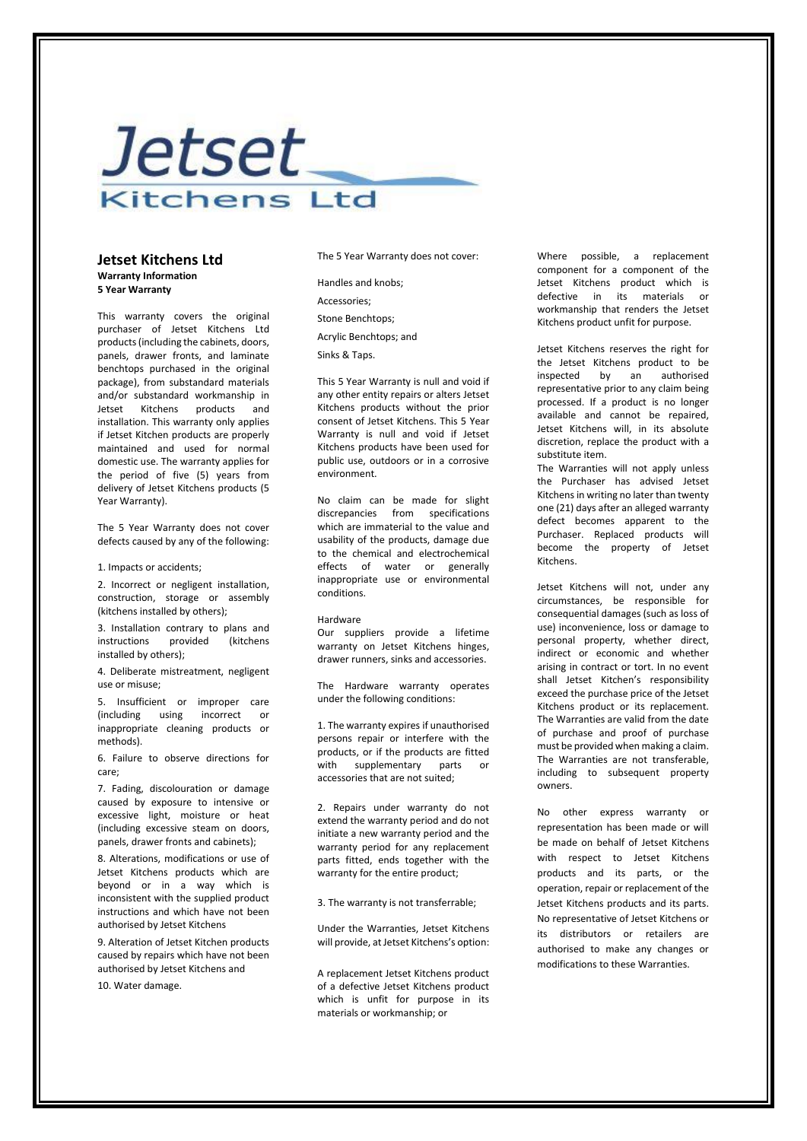# *Jetset* **Kitchens Ltd**

### **Jetset Kitchens Ltd Warranty Information 5 Year Warranty**

This warranty covers the original purchaser of Jetset Kitchens Ltd products (including the cabinets, doors, panels, drawer fronts, and laminate benchtops purchased in the original package), from substandard materials and/or substandard workmanship in Jetset Kitchens products and installation. This warranty only applies if Jetset Kitchen products are properly maintained and used for normal domestic use. The warranty applies for the period of five (5) years from delivery of Jetset Kitchens products (5 Year Warranty).

The 5 Year Warranty does not cover defects caused by any of the following:

#### 1. Impacts or accidents;

2. Incorrect or negligent installation, construction, storage or assembly (kitchens installed by others);

3. Installation contrary to plans and instructions provided (kitchens installed by others);

4. Deliberate mistreatment, negligent use or misuse;

5. Insufficient or improper care (including using incorrect or inappropriate cleaning products or methods).

6. Failure to observe directions for care;

7. Fading, discolouration or damage caused by exposure to intensive or excessive light, moisture or heat (including excessive steam on doors, panels, drawer fronts and cabinets);

8. Alterations, modifications or use of Jetset Kitchens products which are beyond or in a way which is inconsistent with the supplied product instructions and which have not been authorised by Jetset Kitchens

9. Alteration of Jetset Kitchen products caused by repairs which have not been authorised by Jetset Kitchens and

10. Water damage.

The 5 Year Warranty does not cover:

Handles and knobs; Accessories; Stone Benchtops; Acrylic Benchtops; and Sinks & Taps.

This 5 Year Warranty is null and void if any other entity repairs or alters Jetset Kitchens products without the prior consent of Jetset Kitchens. This 5 Year Warranty is null and void if Jetset Kitchens products have been used for public use, outdoors or in a corrosive environment.

No claim can be made for slight discrepancies from specifications which are immaterial to the value and usability of the products, damage due to the chemical and electrochemical effects of water or generally inappropriate use or environmental conditions.

#### Hardware

Our suppliers provide a lifetime warranty on Jetset Kitchens hinges, drawer runners, sinks and accessories.

The Hardware warranty operates under the following conditions:

1. The warranty expires if unauthorised persons repair or interfere with the products, or if the products are fitted with supplementary parts or accessories that are not suited;

2. Repairs under warranty do not extend the warranty period and do not initiate a new warranty period and the warranty period for any replacement parts fitted, ends together with the warranty for the entire product;

3. The warranty is not transferrable;

Under the Warranties, Jetset Kitchens will provide, at Jetset Kitchens's option:

A replacement Jetset Kitchens product of a defective Jetset Kitchens product which is unfit for purpose in its materials or workmanship; or

Where possible, a replacement component for a component of the Jetset Kitchens product which is defective in its materials workmanship that renders the Jetset Kitchens product unfit for purpose.

Jetset Kitchens reserves the right for the Jetset Kitchens product to be inspected by an authorised representative prior to any claim being processed. If a product is no longer available and cannot be repaired, Jetset Kitchens will, in its absolute discretion, replace the product with a substitute item.

The Warranties will not apply unless the Purchaser has advised Jetset Kitchens in writing no later than twenty one (21) days after an alleged warranty defect becomes apparent to the Purchaser. Replaced products will become the property of Jetset Kitchens.

Jetset Kitchens will not, under any circumstances, be responsible for consequential damages (such as loss of use) inconvenience, loss or damage to personal property, whether direct, indirect or economic and whether arising in contract or tort. In no event shall Jetset Kitchen's responsibility exceed the purchase price of the Jetset Kitchens product or its replacement. The Warranties are valid from the date of purchase and proof of purchase must be provided when making a claim. The Warranties are not transferable, including to subsequent property owners.

No other express warranty or representation has been made or will be made on behalf of Jetset Kitchens with respect to Jetset Kitchens products and its parts, or the operation, repair or replacement of the Jetset Kitchens products and its parts. No representative of Jetset Kitchens or its distributors or retailers are authorised to make any changes or modifications to these Warranties.